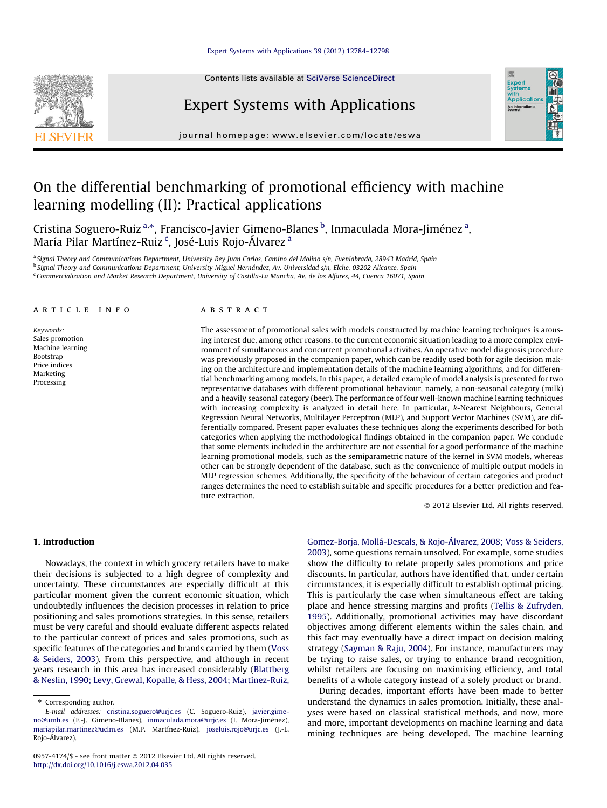## [Expert Systems with Applications 39 \(2012\) 12784–12798](http://dx.doi.org/10.1016/j.eswa.2012.04.035)



Contents lists available at [SciVerse ScienceDirect](http://www.sciencedirect.com/science/journal/09574174)

# Expert Systems with Applications



journal homepage: [www.elsevier.com/locate/eswa](http://www.elsevier.com/locate/eswa)

# On the differential benchmarking of promotional efficiency with machine learning modelling (II): Practical applications

Cristina Soguero-Ruiz <sup>a,</sup>\*, Francisco-Javier Gimeno-Blanes <sup>b</sup>, Inmaculada Mora-Jiménez <sup>a</sup>, María Pilar Martínez-Ruiz <sup>c</sup>, José-Luis Rojo-Álvarez <sup>a</sup>

a Signal Theory and Communications Department, University Rey Juan Carlos, Camino del Molino s/n, Fuenlabrada, 28943 Madrid, Spain <sup>b</sup> Signal Theory and Communications Department, University Miguel Hernández, Av. Universidad s/n, Elche, 03202 Alicante, Spain

<sup>c</sup> Commercialization and Market Research Department, University of Castilla-La Mancha, Av. de los Alfares, 44, Cuenca 16071, Spain

## article info

Keywords: Sales promotion Machine learning Bootstrap Price indices Marketing Processing

# A B S T R A C T

The assessment of promotional sales with models constructed by machine learning techniques is arousing interest due, among other reasons, to the current economic situation leading to a more complex environment of simultaneous and concurrent promotional activities. An operative model diagnosis procedure was previously proposed in the companion paper, which can be readily used both for agile decision making on the architecture and implementation details of the machine learning algorithms, and for differential benchmarking among models. In this paper, a detailed example of model analysis is presented for two representative databases with different promotional behaviour, namely, a non-seasonal category (milk) and a heavily seasonal category (beer). The performance of four well-known machine learning techniques with increasing complexity is analyzed in detail here. In particular, k-Nearest Neighbours, General Regression Neural Networks, Multilayer Perceptron (MLP), and Support Vector Machines (SVM), are differentially compared. Present paper evaluates these techniques along the experiments described for both categories when applying the methodological findings obtained in the companion paper. We conclude that some elements included in the architecture are not essential for a good performance of the machine learning promotional models, such as the semiparametric nature of the kernel in SVM models, whereas other can be strongly dependent of the database, such as the convenience of multiple output models in MLP regression schemes. Additionally, the specificity of the behaviour of certain categories and product ranges determines the need to establish suitable and specific procedures for a better prediction and feature extraction.

- 2012 Elsevier Ltd. All rights reserved.

#### 1. Introduction

Nowadays, the context in which grocery retailers have to make their decisions is subjected to a high degree of complexity and uncertainty. These circumstances are especially difficult at this particular moment given the current economic situation, which undoubtedly influences the decision processes in relation to price positioning and sales promotions strategies. In this sense, retailers must be very careful and should evaluate different aspects related to the particular context of prices and sales promotions, such as specific features of the categories and brands carried by them [\(Voss](#page--1-0) [& Seiders, 2003\)](#page--1-0). From this perspective, and although in recent years research in this area has increased considerably [\(Blattberg](#page--1-0) [& Neslin, 1990; Levy, Grewal, Kopalle, & Hess, 2004; Martínez-Ruiz,](#page--1-0) [Gomez-Borja, Mollá-Descals, & Rojo-Álvarez, 2008; Voss & Seiders,](#page--1-0) [2003\)](#page--1-0), some questions remain unsolved. For example, some studies show the difficulty to relate properly sales promotions and price discounts. In particular, authors have identified that, under certain circumstances, it is especially difficult to establish optimal pricing. This is particularly the case when simultaneous effect are taking place and hence stressing margins and profits [\(Tellis & Zufryden,](#page--1-0) [1995\)](#page--1-0). Additionally, promotional activities may have discordant objectives among different elements within the sales chain, and this fact may eventually have a direct impact on decision making strategy [\(Sayman & Raju, 2004\)](#page--1-0). For instance, manufacturers may be trying to raise sales, or trying to enhance brand recognition, whilst retailers are focusing on maximising efficiency, and total benefits of a whole category instead of a solely product or brand.

During decades, important efforts have been made to better understand the dynamics in sales promotion. Initially, these analyses were based on classical statistical methods, and now, more and more, important developments on machine learning and data mining techniques are being developed. The machine learning

<sup>⇑</sup> Corresponding author.

E-mail addresses: [cristina.soguero@urjc.es](mailto:cristina.soguero@urjc.es) (C. Soguero-Ruiz), [javier.gime](mailto:javier.gimeno@umh.es)[no@umh.es](mailto:javier.gimeno@umh.es) (F.-J. Gimeno-Blanes), [inmaculada.mora@urjc.es](mailto:inmaculada.mora@urjc.es) (I. Mora-Jiménez), [mariapilar.martinez@uclm.es](mailto:mariapilar.martinez@uclm.es) (M.P. Martínez-Ruiz), [joseluis.rojo@urjc.es](mailto:joseluis.rojo@urjc.es) (J.-L. Rojo-Álvarez).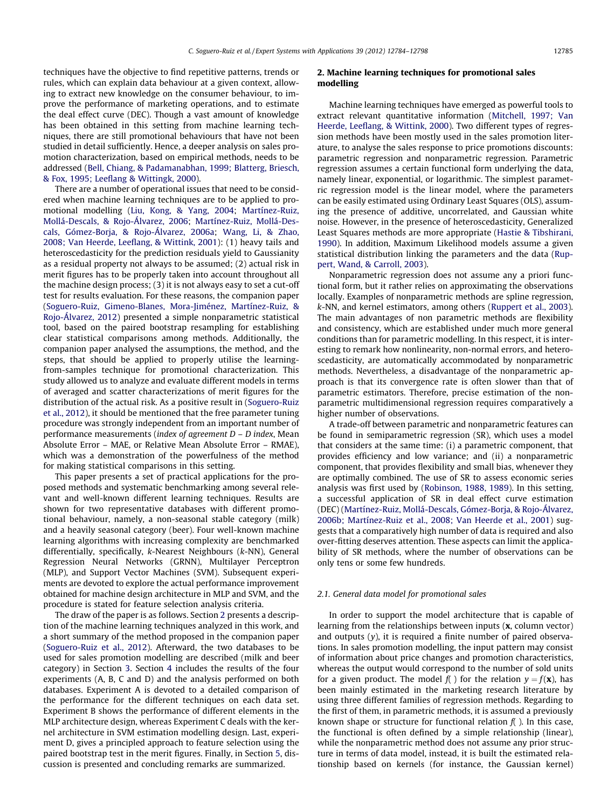techniques have the objective to find repetitive patterns, trends or rules, which can explain data behaviour at a given context, allowing to extract new knowledge on the consumer behaviour, to improve the performance of marketing operations, and to estimate the deal effect curve (DEC). Though a vast amount of knowledge has been obtained in this setting from machine learning techniques, there are still promotional behaviours that have not been studied in detail sufficiently. Hence, a deeper analysis on sales promotion characterization, based on empirical methods, needs to be addressed [\(Bell, Chiang, & Padamanabhan, 1999; Blatterg, Briesch,](#page--1-0) [& Fox, 1995; Leeflang & Wittingk, 2000](#page--1-0)).

There are a number of operational issues that need to be considered when machine learning techniques are to be applied to promotional modelling [\(Liu, Kong, & Yang, 2004;](#page--1-0) [Martínez-Ruiz,](#page--1-0) [Mollá-Descals, & Rojo-Álvarez, 2006;](#page--1-0) [Martínez-Ruiz, Mollá-Des](#page--1-0)[cals, Gómez-Borja, & Rojo-Álvarez, 2006a](#page--1-0); [Wang, Li, & Zhao,](#page--1-0) [2008; Van Heerde, Leeflang, & Wittink, 2001](#page--1-0)): (1) heavy tails and heteroscedasticity for the prediction residuals yield to Gaussianity as a residual property not always to be assumed; (2) actual risk in merit figures has to be properly taken into account throughout all the machine design process; (3) it is not always easy to set a cut-off test for results evaluation. For these reasons, the companion paper ([Soguero-Ruiz, Gimeno-Blanes, Mora-Jiménez, Martínez-Ruiz, &](#page--1-0) [Rojo-Álvarez, 2012\)](#page--1-0) presented a simple nonparametric statistical tool, based on the paired bootstrap resampling for establishing clear statistical comparisons among methods. Additionally, the companion paper analysed the assumptions, the method, and the steps, that should be applied to properly utilise the learningfrom-samples technique for promotional characterization. This study allowed us to analyze and evaluate different models in terms of averaged and scatter characterizations of merit figures for the distribution of the actual risk. As a positive result in [\(Soguero-Ruiz](#page--1-0) [et al., 2012](#page--1-0)), it should be mentioned that the free parameter tuning procedure was strongly independent from an important number of performance measurements (index of agreement D – D index, Mean Absolute Error – MAE, or Relative Mean Absolute Error – RMAE), which was a demonstration of the powerfulness of the method for making statistical comparisons in this setting.

This paper presents a set of practical applications for the proposed methods and systematic benchmarking among several relevant and well-known different learning techniques. Results are shown for two representative databases with different promotional behaviour, namely, a non-seasonal stable category (milk) and a heavily seasonal category (beer). Four well-known machine learning algorithms with increasing complexity are benchmarked differentially, specifically, k-Nearest Neighbours (k-NN), General Regression Neural Networks (GRNN), Multilayer Perceptron (MLP), and Support Vector Machines (SVM). Subsequent experiments are devoted to explore the actual performance improvement obtained for machine design architecture in MLP and SVM, and the procedure is stated for feature selection analysis criteria.

The draw of the paper is as follows. Section 2 presents a description of the machine learning techniques analyzed in this work, and a short summary of the method proposed in the companion paper ([Soguero-Ruiz et al., 2012](#page--1-0)). Afterward, the two databases to be used for sales promotion modelling are described (milk and beer category) in Section [3.](#page--1-0) Section [4](#page--1-0) includes the results of the four experiments (A, B, C and D) and the analysis performed on both databases. Experiment A is devoted to a detailed comparison of the performance for the different techniques on each data set. Experiment B shows the performance of different elements in the MLP architecture design, whereas Experiment C deals with the kernel architecture in SVM estimation modelling design. Last, experiment D, gives a principled approach to feature selection using the paired bootstrap test in the merit figures. Finally, in Section [5](#page--1-0), discussion is presented and concluding remarks are summarized.

## 2. Machine learning techniques for promotional sales modelling

Machine learning techniques have emerged as powerful tools to extract relevant quantitative information ([Mitchell, 1997; Van](#page--1-0) [Heerde, Leeflang, & Wittink, 2000](#page--1-0)). Two different types of regression methods have been mostly used in the sales promotion literature, to analyse the sales response to price promotions discounts: parametric regression and nonparametric regression. Parametric regression assumes a certain functional form underlying the data, namely linear, exponential, or logarithmic. The simplest parametric regression model is the linear model, where the parameters can be easily estimated using Ordinary Least Squares (OLS), assuming the presence of additive, uncorrelated, and Gaussian white noise. However, in the presence of heteroscedasticity, Generalized Least Squares methods are more appropriate ([Hastie & Tibshirani,](#page--1-0) [1990](#page--1-0)). In addition, Maximum Likelihood models assume a given statistical distribution linking the parameters and the data [\(Rup](#page--1-0)[pert, Wand, & Carroll, 2003\)](#page--1-0).

Nonparametric regression does not assume any a priori functional form, but it rather relies on approximating the observations locally. Examples of nonparametric methods are spline regression, k-NN, and kernel estimators, among others [\(Ruppert et al., 2003\)](#page--1-0). The main advantages of non parametric methods are flexibility and consistency, which are established under much more general conditions than for parametric modelling. In this respect, it is interesting to remark how nonlinearity, non-normal errors, and heteroscedasticity, are automatically accommodated by nonparametric methods. Nevertheless, a disadvantage of the nonparametric approach is that its convergence rate is often slower than that of parametric estimators. Therefore, precise estimation of the nonparametric multidimensional regression requires comparatively a higher number of observations.

A trade-off between parametric and nonparametric features can be found in semiparametric regression (SR), which uses a model that considers at the same time: (i) a parametric component, that provides efficiency and low variance; and (ii) a nonparametric component, that provides flexibility and small bias, whenever they are optimally combined. The use of SR to assess economic series analysis was first used by ([Robinson, 1988, 1989](#page--1-0)). In this setting, a successful application of SR in deal effect curve estimation (DEC) ([Martínez-Ruiz, Mollá-Descals, Gómez-Borja, & Rojo-Álvarez,](#page--1-0) [2006b; Martínez-Ruiz et al., 2008; Van Heerde et al., 2001\)](#page--1-0) suggests that a comparatively high number of data is required and also over-fitting deserves attention. These aspects can limit the applicability of SR methods, where the number of observations can be only tens or some few hundreds.

#### 2.1. General data model for promotional sales

In order to support the model architecture that is capable of learning from the relationships between inputs (x, column vector) and outputs  $(y)$ , it is required a finite number of paired observations. In sales promotion modelling, the input pattern may consist of information about price changes and promotion characteristics, whereas the output would correspond to the number of sold units for a given product. The model  $f()$  for the relation  $y = f(x)$ , has been mainly estimated in the marketing research literature by using three different families of regression methods. Regarding to the first of them, in parametric methods, it is assumed a previously known shape or structure for functional relation  $f($  ). In this case, the functional is often defined by a simple relationship (linear), while the nonparametric method does not assume any prior structure in terms of data model, instead, it is built the estimated relationship based on kernels (for instance, the Gaussian kernel)